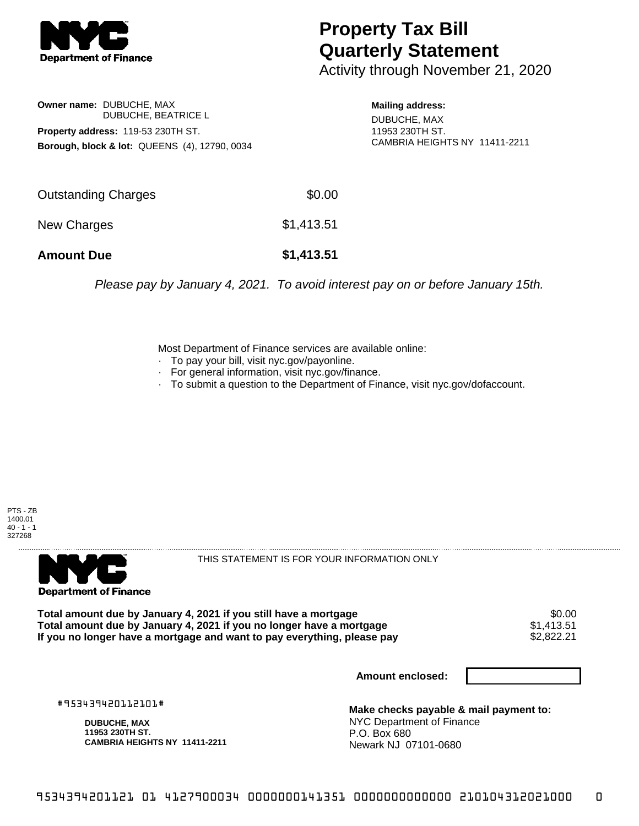

## **Property Tax Bill Quarterly Statement**

Activity through November 21, 2020

**Owner name:** DUBUCHE, MAX DUBUCHE, BEATRICE L **Property address:** 119-53 230TH ST. **Borough, block & lot:** QUEENS (4), 12790, 0034

**Mailing address:** DUBUCHE, MAX 11953 230TH ST. CAMBRIA HEIGHTS NY 11411-2211

| <b>Amount Due</b>   | \$1,413.51 |
|---------------------|------------|
| New Charges         | \$1,413.51 |
| Outstanding Charges | \$0.00     |

Please pay by January 4, 2021. To avoid interest pay on or before January 15th.

Most Department of Finance services are available online:

- · To pay your bill, visit nyc.gov/payonline.
- For general information, visit nyc.gov/finance.
- · To submit a question to the Department of Finance, visit nyc.gov/dofaccount.





THIS STATEMENT IS FOR YOUR INFORMATION ONLY

Total amount due by January 4, 2021 if you still have a mortgage \$0.00<br>Total amount due by January 4, 2021 if you no longer have a mortgage \$1.413.51 **Total amount due by January 4, 2021 if you no longer have a mortgage**  $$1,413.51$$ **<br>If you no longer have a mortgage and want to pay everything, please pay**  $$2,822.21$$ If you no longer have a mortgage and want to pay everything, please pay

**Amount enclosed:**

#953439420112101#

**DUBUCHE, MAX 11953 230TH ST. CAMBRIA HEIGHTS NY 11411-2211**

**Make checks payable & mail payment to:** NYC Department of Finance P.O. Box 680 Newark NJ 07101-0680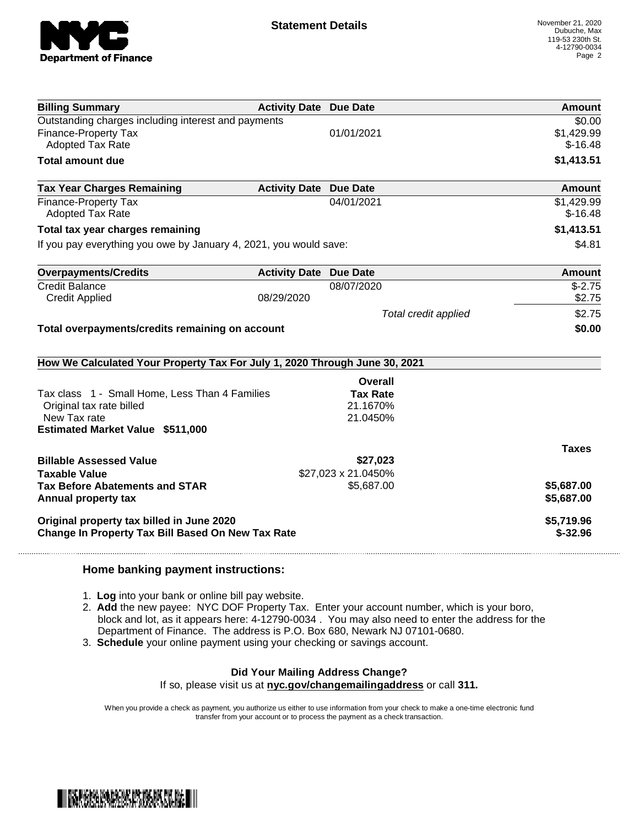

| <b>Billing Summary</b>                                                     | <b>Activity Date Due Date</b> |                      | Amount                  |
|----------------------------------------------------------------------------|-------------------------------|----------------------|-------------------------|
| Outstanding charges including interest and payments                        |                               |                      | \$0.00                  |
| <b>Finance-Property Tax</b>                                                |                               | 01/01/2021           | \$1,429.99              |
| <b>Adopted Tax Rate</b>                                                    |                               |                      | $$-16.48$               |
| <b>Total amount due</b>                                                    |                               |                      | \$1,413.51              |
| <b>Tax Year Charges Remaining</b>                                          | <b>Activity Date Due Date</b> |                      | <b>Amount</b>           |
| Finance-Property Tax<br><b>Adopted Tax Rate</b>                            |                               | 04/01/2021           | \$1,429.99<br>$$-16.48$ |
| Total tax year charges remaining                                           |                               |                      | \$1,413.51              |
| If you pay everything you owe by January 4, 2021, you would save:          |                               | \$4.81               |                         |
| <b>Overpayments/Credits</b>                                                | <b>Activity Date Due Date</b> |                      | <b>Amount</b>           |
| <b>Credit Balance</b>                                                      |                               | 08/07/2020           | $S - 2.75$              |
| <b>Credit Applied</b>                                                      | 08/29/2020                    |                      | \$2.75                  |
|                                                                            |                               | Total credit applied | \$2.75                  |
| Total overpayments/credits remaining on account                            |                               |                      | \$0.00                  |
| How We Calculated Your Property Tax For July 1, 2020 Through June 30, 2021 |                               |                      |                         |
|                                                                            |                               | Overall              |                         |
| Tax class 1 - Small Home, Less Than 4 Families                             |                               | <b>Tax Rate</b>      |                         |
| Original tax rate billed                                                   |                               | 21.1670%             |                         |
| New Tax rate                                                               |                               | 21.0450%             |                         |
| <b>Estimated Market Value \$511,000</b>                                    |                               |                      |                         |
|                                                                            |                               |                      | <b>Taxes</b>            |
| <b>Billable Assessed Value</b>                                             |                               | \$27,023             |                         |
| <b>Taxable Value</b>                                                       |                               | \$27,023 x 21.0450%  |                         |
| <b>Tax Before Abatements and STAR</b>                                      |                               | \$5,687.00           | \$5,687.00              |
| Annual property tax                                                        |                               |                      | \$5,687.00              |
| Original property tax billed in June 2020                                  |                               |                      | \$5,719.96              |
| <b>Change In Property Tax Bill Based On New Tax Rate</b>                   |                               |                      | $$-32.96$               |

## **Home banking payment instructions:**

- 1. **Log** into your bank or online bill pay website.
- 2. **Add** the new payee: NYC DOF Property Tax. Enter your account number, which is your boro, block and lot, as it appears here: 4-12790-0034 . You may also need to enter the address for the Department of Finance. The address is P.O. Box 680, Newark NJ 07101-0680.
- 3. **Schedule** your online payment using your checking or savings account.

## **Did Your Mailing Address Change?**

If so, please visit us at **nyc.gov/changemailingaddress** or call **311.**

When you provide a check as payment, you authorize us either to use information from your check to make a one-time electronic fund transfer from your account or to process the payment as a check transaction.